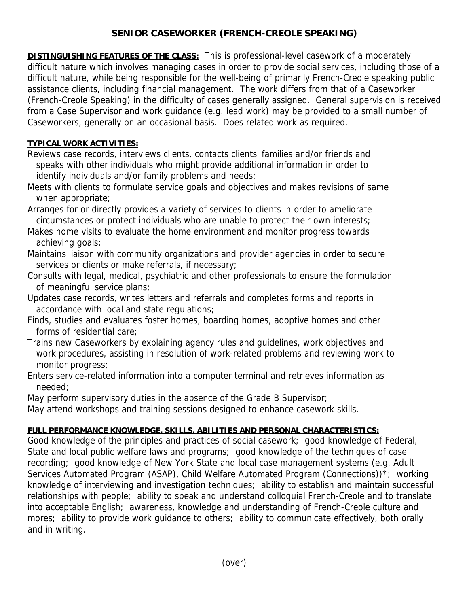# **SENIOR CASEWORKER (FRENCH-CREOLE SPEAKING)**

**DISTINGUISHING FEATURES OF THE CLASS:** This is professional-level casework of a moderately difficult nature which involves managing cases in order to provide social services, including those of a difficult nature, while being responsible for the well-being of primarily French-Creole speaking public assistance clients, including financial management. The work differs from that of a Caseworker (French-Creole Speaking) in the difficulty of cases generally assigned. General supervision is received from a Case Supervisor and work guidance (e.g. lead work) may be provided to a small number of Caseworkers, generally on an occasional basis. Does related work as required.

### **TYPICAL WORK ACTIVITIES:**

- Reviews case records, interviews clients, contacts clients' families and/or friends and speaks with other individuals who might provide additional information in order to identify individuals and/or family problems and needs;
- Meets with clients to formulate service goals and objectives and makes revisions of same when appropriate;
- Arranges for or directly provides a variety of services to clients in order to ameliorate circumstances or protect individuals who are unable to protect their own interests;
- Makes home visits to evaluate the home environment and monitor progress towards achieving goals;
- Maintains liaison with community organizations and provider agencies in order to secure services or clients or make referrals, if necessary;
- Consults with legal, medical, psychiatric and other professionals to ensure the formulation of meaningful service plans;
- Updates case records, writes letters and referrals and completes forms and reports in accordance with local and state regulations;
- Finds, studies and evaluates foster homes, boarding homes, adoptive homes and other forms of residential care;
- Trains new Caseworkers by explaining agency rules and guidelines, work objectives and work procedures, assisting in resolution of work-related problems and reviewing work to monitor progress;
- Enters service-related information into a computer terminal and retrieves information as needed;

May perform supervisory duties in the absence of the Grade B Supervisor;

May attend workshops and training sessions designed to enhance casework skills.

## **FULL PERFORMANCE KNOWLEDGE, SKILLS, ABILITIES AND PERSONAL CHARACTERISTICS:**

Good knowledge of the principles and practices of social casework; good knowledge of Federal, State and local public welfare laws and programs; good knowledge of the techniques of case recording; good knowledge of New York State and local case management systems (e.g. Adult Services Automated Program (ASAP), Child Welfare Automated Program (Connections))\*; working knowledge of interviewing and investigation techniques; ability to establish and maintain successful relationships with people; ability to speak and understand colloquial French-Creole and to translate into acceptable English; awareness, knowledge and understanding of French-Creole culture and mores; ability to provide work guidance to others; ability to communicate effectively, both orally and in writing.